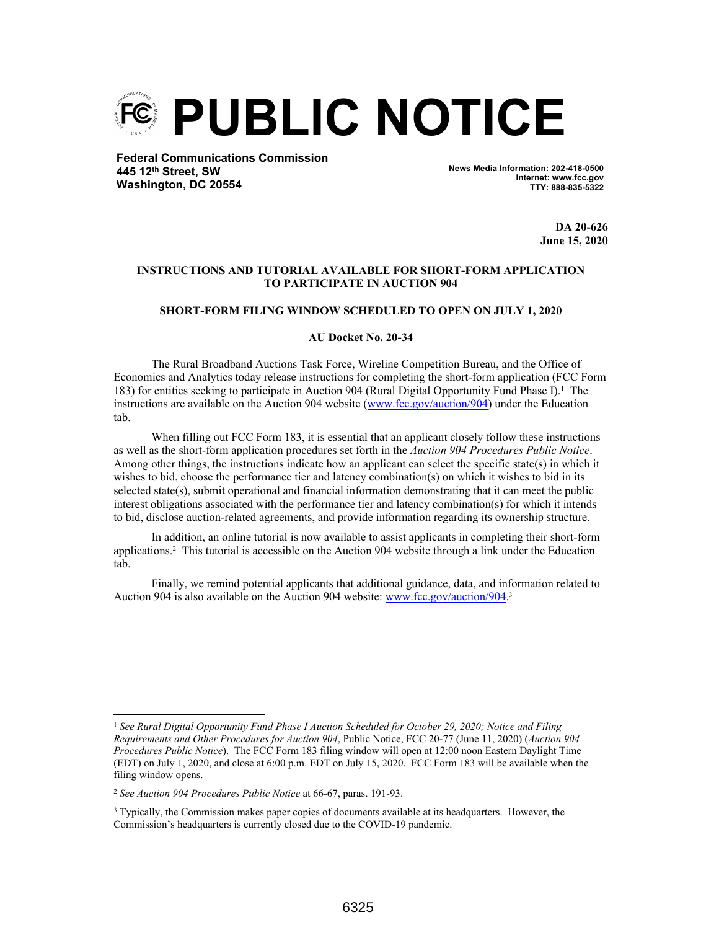

**Federal Communications Commission 445 12th Street, SW Washington, DC 20554**

**News Media Information: 202-418-0500 Internet: www.fcc.gov TTY: 888-835-5322**

> **DA 20-626 June 15, 2020**

# **INSTRUCTIONS AND TUTORIAL AVAILABLE FOR SHORT-FORM APPLICATION TO PARTICIPATE IN AUCTION 904**

### **SHORT-FORM FILING WINDOW SCHEDULED TO OPEN ON JULY 1, 2020**

#### **AU Docket No. 20-34**

The Rural Broadband Auctions Task Force, Wireline Competition Bureau, and the Office of Economics and Analytics today release instructions for completing the short-form application (FCC Form 183) for entities seeking to participate in Auction 904 (Rural Digital Opportunity Fund Phase I).<sup>1</sup> The instructions are available on the Auction 904 website (www.fcc.gov/auction/904) under the Education tab.

When filling out FCC Form 183, it is essential that an applicant closely follow these instructions as well as the short-form application procedures set forth in the *Auction 904 Procedures Public Notice*. Among other things, the instructions indicate how an applicant can select the specific state(s) in which it wishes to bid, choose the performance tier and latency combination(s) on which it wishes to bid in its selected state(s), submit operational and financial information demonstrating that it can meet the public interest obligations associated with the performance tier and latency combination(s) for which it intends to bid, disclose auction-related agreements, and provide information regarding its ownership structure.

In addition, an online tutorial is now available to assist applicants in completing their short-form applications.<sup>2</sup> This tutorial is accessible on the Auction 904 website through a link under the Education tab.

Finally, we remind potential applicants that additional guidance, data, and information related to Auction 904 is also available on the Auction 904 website: www.fcc.gov/auction/904.<sup>3</sup>

<sup>1</sup> *See Rural Digital Opportunity Fund Phase I Auction Scheduled for October 29, 2020; Notice and Filing Requirements and Other Procedures for Auction 904*, Public Notice, FCC 20-77 (June 11, 2020) (*Auction 904 Procedures Public Notice*). The FCC Form 183 filing window will open at 12:00 noon Eastern Daylight Time (EDT) on July 1, 2020, and close at 6:00 p.m. EDT on July 15, 2020. FCC Form 183 will be available when the filing window opens.

<sup>2</sup> *See Auction 904 Procedures Public Notice* at 66-67, paras. 191-93.

<sup>&</sup>lt;sup>3</sup> Typically, the Commission makes paper copies of documents available at its headquarters. However, the Commission's headquarters is currently closed due to the COVID-19 pandemic.